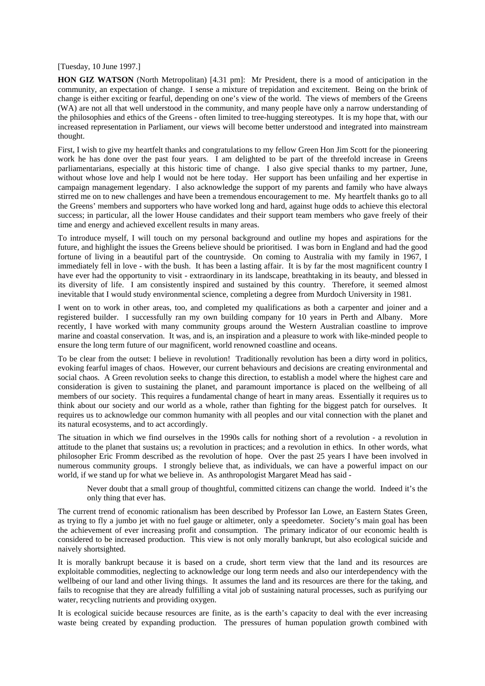[Tuesday, 10 June 1997.]

**HON GIZ WATSON** (North Metropolitan) [4.31 pm]: Mr President, there is a mood of anticipation in the community, an expectation of change. I sense a mixture of trepidation and excitement. Being on the brink of change is either exciting or fearful, depending on one's view of the world. The views of members of the Greens (WA) are not all that well understood in the community, and many people have only a narrow understanding of the philosophies and ethics of the Greens - often limited to tree-hugging stereotypes. It is my hope that, with our increased representation in Parliament, our views will become better understood and integrated into mainstream thought.

First, I wish to give my heartfelt thanks and congratulations to my fellow Green Hon Jim Scott for the pioneering work he has done over the past four years. I am delighted to be part of the threefold increase in Greens parliamentarians, especially at this historic time of change. I also give special thanks to my partner, June, without whose love and help I would not be here today. Her support has been unfailing and her expertise in campaign management legendary. I also acknowledge the support of my parents and family who have always stirred me on to new challenges and have been a tremendous encouragement to me. My heartfelt thanks go to all the Greens' members and supporters who have worked long and hard, against huge odds to achieve this electoral success; in particular, all the lower House candidates and their support team members who gave freely of their time and energy and achieved excellent results in many areas.

To introduce myself, I will touch on my personal background and outline my hopes and aspirations for the future, and highlight the issues the Greens believe should be prioritised. I was born in England and had the good fortune of living in a beautiful part of the countryside. On coming to Australia with my family in 1967, I immediately fell in love - with the bush. It has been a lasting affair. It is by far the most magnificent country I have ever had the opportunity to visit - extraordinary in its landscape, breathtaking in its beauty, and blessed in its diversity of life. I am consistently inspired and sustained by this country. Therefore, it seemed almost inevitable that I would study environmental science, completing a degree from Murdoch University in 1981.

I went on to work in other areas, too, and completed my qualifications as both a carpenter and joiner and a registered builder. I successfully ran my own building company for 10 years in Perth and Albany. More recently, I have worked with many community groups around the Western Australian coastline to improve marine and coastal conservation. It was, and is, an inspiration and a pleasure to work with like-minded people to ensure the long term future of our magnificent, world renowned coastline and oceans.

To be clear from the outset: I believe in revolution! Traditionally revolution has been a dirty word in politics, evoking fearful images of chaos. However, our current behaviours and decisions are creating environmental and social chaos. A Green revolution seeks to change this direction, to establish a model where the highest care and consideration is given to sustaining the planet, and paramount importance is placed on the wellbeing of all members of our society. This requires a fundamental change of heart in many areas. Essentially it requires us to think about our society and our world as a whole, rather than fighting for the biggest patch for ourselves. It requires us to acknowledge our common humanity with all peoples and our vital connection with the planet and its natural ecosystems, and to act accordingly.

The situation in which we find ourselves in the 1990s calls for nothing short of a revolution - a revolution in attitude to the planet that sustains us; a revolution in practices; and a revolution in ethics. In other words, what philosopher Eric Fromm described as the revolution of hope. Over the past 25 years I have been involved in numerous community groups. I strongly believe that, as individuals, we can have a powerful impact on our world, if we stand up for what we believe in. As anthropologist Margaret Mead has said -

Never doubt that a small group of thoughtful, committed citizens can change the world. Indeed it's the only thing that ever has.

The current trend of economic rationalism has been described by Professor Ian Lowe, an Eastern States Green, as trying to fly a jumbo jet with no fuel gauge or altimeter, only a speedometer. Society's main goal has been the achievement of ever increasing profit and consumption. The primary indicator of our economic health is considered to be increased production. This view is not only morally bankrupt, but also ecological suicide and naively shortsighted.

It is morally bankrupt because it is based on a crude, short term view that the land and its resources are exploitable commodities, neglecting to acknowledge our long term needs and also our interdependency with the wellbeing of our land and other living things. It assumes the land and its resources are there for the taking, and fails to recognise that they are already fulfilling a vital job of sustaining natural processes, such as purifying our water, recycling nutrients and providing oxygen.

It is ecological suicide because resources are finite, as is the earth's capacity to deal with the ever increasing waste being created by expanding production. The pressures of human population growth combined with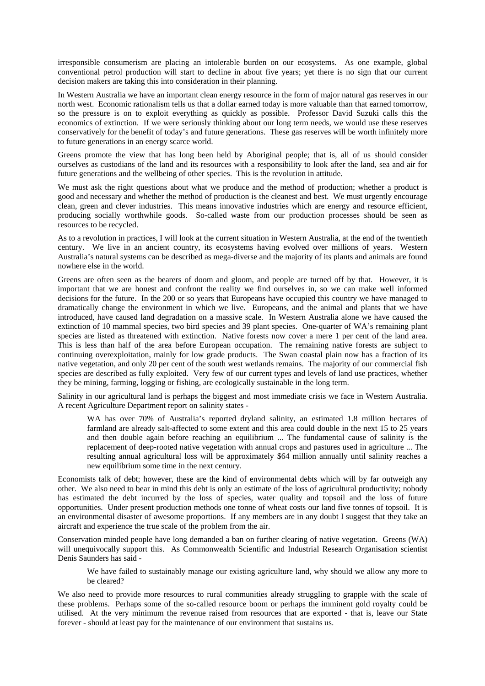irresponsible consumerism are placing an intolerable burden on our ecosystems. As one example, global conventional petrol production will start to decline in about five years; yet there is no sign that our current decision makers are taking this into consideration in their planning.

In Western Australia we have an important clean energy resource in the form of major natural gas reserves in our north west. Economic rationalism tells us that a dollar earned today is more valuable than that earned tomorrow, so the pressure is on to exploit everything as quickly as possible. Professor David Suzuki calls this the economics of extinction. If we were seriously thinking about our long term needs, we would use these reserves conservatively for the benefit of today's and future generations. These gas reserves will be worth infinitely more to future generations in an energy scarce world.

Greens promote the view that has long been held by Aboriginal people; that is, all of us should consider ourselves as custodians of the land and its resources with a responsibility to look after the land, sea and air for future generations and the wellbeing of other species. This is the revolution in attitude.

We must ask the right questions about what we produce and the method of production; whether a product is good and necessary and whether the method of production is the cleanest and best. We must urgently encourage clean, green and clever industries. This means innovative industries which are energy and resource efficient, producing socially worthwhile goods. So-called waste from our production processes should be seen as resources to be recycled.

As to a revolution in practices, I will look at the current situation in Western Australia, at the end of the twentieth century. We live in an ancient country, its ecosystems having evolved over millions of years. Western Australia's natural systems can be described as mega-diverse and the majority of its plants and animals are found nowhere else in the world.

Greens are often seen as the bearers of doom and gloom, and people are turned off by that. However, it is important that we are honest and confront the reality we find ourselves in, so we can make well informed decisions for the future. In the 200 or so years that Europeans have occupied this country we have managed to dramatically change the environment in which we live. Europeans, and the animal and plants that we have introduced, have caused land degradation on a massive scale. In Western Australia alone we have caused the extinction of 10 mammal species, two bird species and 39 plant species. One-quarter of WA's remaining plant species are listed as threatened with extinction. Native forests now cover a mere 1 per cent of the land area. This is less than half of the area before European occupation. The remaining native forests are subject to continuing overexploitation, mainly for low grade products. The Swan coastal plain now has a fraction of its native vegetation, and only 20 per cent of the south west wetlands remains. The majority of our commercial fish species are described as fully exploited. Very few of our current types and levels of land use practices, whether they be mining, farming, logging or fishing, are ecologically sustainable in the long term.

Salinity in our agricultural land is perhaps the biggest and most immediate crisis we face in Western Australia. A recent Agriculture Department report on salinity states -

WA has over 70% of Australia's reported dryland salinity, an estimated 1.8 million hectares of farmland are already salt-affected to some extent and this area could double in the next 15 to 25 years and then double again before reaching an equilibrium ... The fundamental cause of salinity is the replacement of deep-rooted native vegetation with annual crops and pastures used in agriculture ... The resulting annual agricultural loss will be approximately \$64 million annually until salinity reaches a new equilibrium some time in the next century.

Economists talk of debt; however, these are the kind of environmental debts which will by far outweigh any other. We also need to bear in mind this debt is only an estimate of the loss of agricultural productivity; nobody has estimated the debt incurred by the loss of species, water quality and topsoil and the loss of future opportunities. Under present production methods one tonne of wheat costs our land five tonnes of topsoil. It is an environmental disaster of awesome proportions. If any members are in any doubt I suggest that they take an aircraft and experience the true scale of the problem from the air.

Conservation minded people have long demanded a ban on further clearing of native vegetation. Greens (WA) will unequivocally support this. As Commonwealth Scientific and Industrial Research Organisation scientist Denis Saunders has said -

We have failed to sustainably manage our existing agriculture land, why should we allow any more to be cleared?

We also need to provide more resources to rural communities already struggling to grapple with the scale of these problems. Perhaps some of the so-called resource boom or perhaps the imminent gold royalty could be utilised. At the very minimum the revenue raised from resources that are exported - that is, leave our State forever - should at least pay for the maintenance of our environment that sustains us.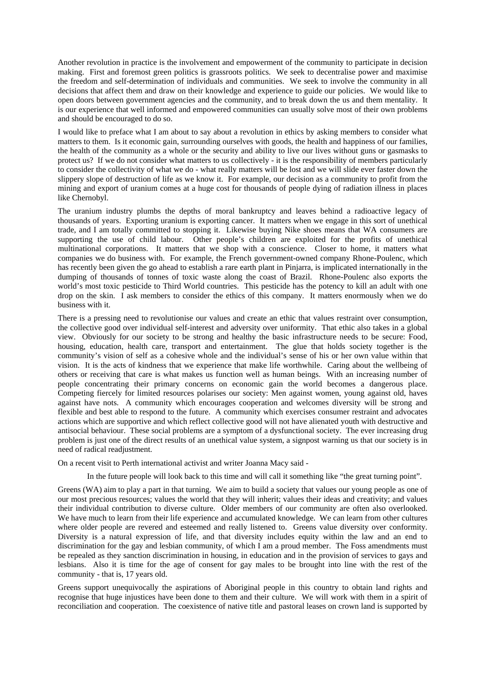Another revolution in practice is the involvement and empowerment of the community to participate in decision making. First and foremost green politics is grassroots politics. We seek to decentralise power and maximise the freedom and self-determination of individuals and communities. We seek to involve the community in all decisions that affect them and draw on their knowledge and experience to guide our policies. We would like to open doors between government agencies and the community, and to break down the us and them mentality. It is our experience that well informed and empowered communities can usually solve most of their own problems and should be encouraged to do so.

I would like to preface what I am about to say about a revolution in ethics by asking members to consider what matters to them. Is it economic gain, surrounding ourselves with goods, the health and happiness of our families, the health of the community as a whole or the security and ability to live our lives without guns or gasmasks to protect us? If we do not consider what matters to us collectively - it is the responsibility of members particularly to consider the collectivity of what we do - what really matters will be lost and we will slide ever faster down the slippery slope of destruction of life as we know it. For example, our decision as a community to profit from the mining and export of uranium comes at a huge cost for thousands of people dying of radiation illness in places like Chernobyl.

The uranium industry plumbs the depths of moral bankruptcy and leaves behind a radioactive legacy of thousands of years. Exporting uranium is exporting cancer. It matters when we engage in this sort of unethical trade, and I am totally committed to stopping it. Likewise buying Nike shoes means that WA consumers are supporting the use of child labour. Other people's children are exploited for the profits of unethical multinational corporations. It matters that we shop with a conscience. Closer to home, it matters what companies we do business with. For example, the French government-owned company Rhone-Poulenc, which has recently been given the go ahead to establish a rare earth plant in Pinjarra, is implicated internationally in the dumping of thousands of tonnes of toxic waste along the coast of Brazil. Rhone-Poulenc also exports the world's most toxic pesticide to Third World countries. This pesticide has the potency to kill an adult with one drop on the skin. I ask members to consider the ethics of this company. It matters enormously when we do business with it.

There is a pressing need to revolutionise our values and create an ethic that values restraint over consumption, the collective good over individual self-interest and adversity over uniformity. That ethic also takes in a global view. Obviously for our society to be strong and healthy the basic infrastructure needs to be secure: Food, housing, education, health care, transport and entertainment. The glue that holds society together is the community's vision of self as a cohesive whole and the individual's sense of his or her own value within that vision. It is the acts of kindness that we experience that make life worthwhile. Caring about the wellbeing of others or receiving that care is what makes us function well as human beings. With an increasing number of people concentrating their primary concerns on economic gain the world becomes a dangerous place. Competing fiercely for limited resources polarises our society: Men against women, young against old, haves against have nots. A community which encourages cooperation and welcomes diversity will be strong and flexible and best able to respond to the future. A community which exercises consumer restraint and advocates actions which are supportive and which reflect collective good will not have alienated youth with destructive and antisocial behaviour. These social problems are a symptom of a dysfunctional society. The ever increasing drug problem is just one of the direct results of an unethical value system, a signpost warning us that our society is in need of radical readjustment.

On a recent visit to Perth international activist and writer Joanna Macy said -

In the future people will look back to this time and will call it something like "the great turning point".

Greens (WA) aim to play a part in that turning. We aim to build a society that values our young people as one of our most precious resources; values the world that they will inherit; values their ideas and creativity; and values their individual contribution to diverse culture. Older members of our community are often also overlooked. We have much to learn from their life experience and accumulated knowledge. We can learn from other cultures where older people are revered and esteemed and really listened to. Greens value diversity over conformity. Diversity is a natural expression of life, and that diversity includes equity within the law and an end to discrimination for the gay and lesbian community, of which I am a proud member. The Foss amendments must be repealed as they sanction discrimination in housing, in education and in the provision of services to gays and lesbians. Also it is time for the age of consent for gay males to be brought into line with the rest of the community - that is, 17 years old.

Greens support unequivocally the aspirations of Aboriginal people in this country to obtain land rights and recognise that huge injustices have been done to them and their culture. We will work with them in a spirit of reconciliation and cooperation. The coexistence of native title and pastoral leases on crown land is supported by